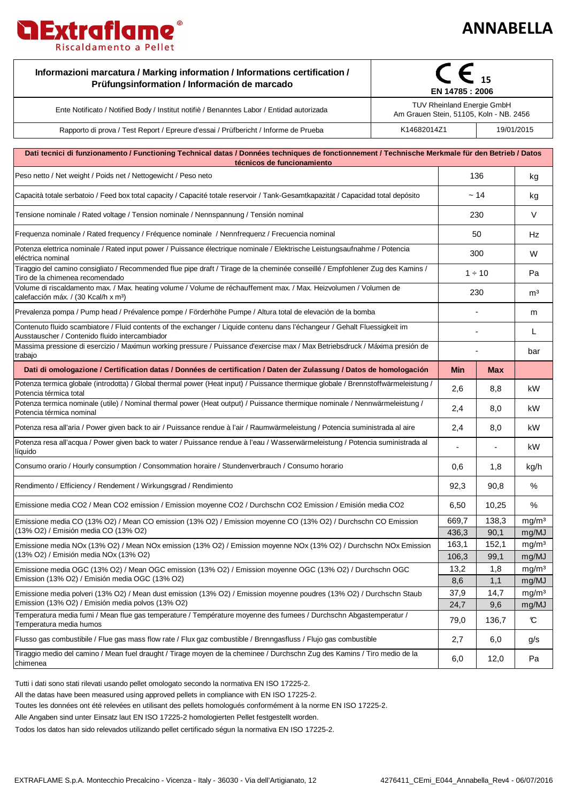## **ANNABELLA**

**Septiment** 

 $\overline{\phantom{a}}$ 

Τ

| Informazioni marcatura / Marking information / Informations certification /<br>Prüfungsinformation / Información de marcado                                                    | EN 14785: 2006                                                        |                |               |                            |
|--------------------------------------------------------------------------------------------------------------------------------------------------------------------------------|-----------------------------------------------------------------------|----------------|---------------|----------------------------|
| Ente Notificato / Notified Body / Institut notifiè / Benanntes Labor / Entidad autorizada                                                                                      | TUV Rheinland Energie GmbH<br>Am Grauen Stein, 51105, Koln - NB. 2456 |                |               |                            |
| Rapporto di prova / Test Report / Epreure d'essai / Prüfbericht / Informe de Prueba                                                                                            | K14682014Z1<br>19/01/2015                                             |                |               |                            |
|                                                                                                                                                                                |                                                                       |                |               |                            |
| Dati tecnici di funzionamento / Functioning Technical datas / Données techniques de fonctionnement / Technische Merkmale für den Betrieb / Datos<br>técnicos de funcionamiento |                                                                       |                |               |                            |
| Peso netto / Net weight / Poids net / Nettogewicht / Peso neto                                                                                                                 |                                                                       | 136            |               | kg                         |
| Capacità totale serbatoio / Feed box total capacity / Capacité totale reservoir / Tank-Gesamtkapazität / Capacidad total depósito                                              |                                                                       | ~14            |               | kg                         |
| Tensione nominale / Rated voltage / Tension nominale / Nennspannung / Tensión nominal                                                                                          |                                                                       | 230            |               | V                          |
| Frequenza nominale / Rated frequency / Fréquence nominale / Nennfrequenz / Frecuencia nominal                                                                                  |                                                                       | 50             |               | Hz                         |
| Potenza elettrica nominale / Rated input power / Puissance électrique nominale / Elektrische Leistungsaufnahme / Potencia<br>eléctrica nominal                                 |                                                                       | 300            |               | W                          |
| Tiraggio del camino consigliato / Recommended flue pipe draft / Tirage de la cheminée conseillé / Empfohlener Zug des Kamins /<br>Tiro de la chimenea recomendado              |                                                                       | $1 \div 10$    |               | Pa                         |
| Volume di riscaldamento max. / Max. heating volume / Volume de réchauffement max. / Max. Heizvolumen / Volumen de<br>calefacción máx. / (30 Kcal/h x m <sup>3</sup> )          |                                                                       | 230            |               | m <sup>3</sup>             |
| Prevalenza pompa / Pump head / Prévalence pompe / Förderhöhe Pumpe / Altura total de elevaciòn de la bomba                                                                     |                                                                       |                |               | m                          |
| Contenuto fluido scambiatore / Fluid contents of the exchanger / Liquide contenu dans l'échangeur / Gehalt Fluessigkeit im<br>Ausstauscher / Contenido fluido intercambiador   |                                                                       |                |               | L                          |
| Massima pressione di esercizio / Maximun working pressure / Puissance d'exercise max / Max Betriebsdruck / Máxima presión de<br>trabajo                                        |                                                                       |                |               | bar                        |
| Dati di omologazione / Certification datas / Données de certification / Daten der Zulassung / Datos de homologación                                                            |                                                                       | <b>Min</b>     | Max           |                            |
| Potenza termica globale (introdotta) / Global thermal power (Heat input) / Puissance thermique globale / Brennstoffwärmeleistung /<br>Potencia térmica total                   |                                                                       | 2,6            | 8,8           | kW                         |
| Potenza termica nominale (utile) / Nominal thermal power (Heat output) / Puissance thermique nominale / Nennwärmeleistung /<br>Potencia térmica nominal                        |                                                                       | 2,4            | 8,0           | kW                         |
| Potenza resa all'aria / Power given back to air / Puissance rendue à l'air / Raumwärmeleistung / Potencia suministrada al aire                                                 |                                                                       | 2,4            | 8,0           | kW                         |
| Potenza resa all'acqua / Power given back to water / Puissance rendue à l'eau / Wasserwärmeleistung / Potencia suministrada al<br>líquido                                      |                                                                       |                |               | kW                         |
| Consumo orario / Hourly consumption / Consommation horaire / Stundenverbrauch / Consumo horario                                                                                |                                                                       | 0,6            | 1,8           | kg/h                       |
| Rendimento / Efficiency / Rendement / Wirkungsgrad / Rendimiento                                                                                                               |                                                                       | 92,3           | 90,8          | %                          |
| Emissione media CO2 / Mean CO2 emission / Emission moyenne CO2 / Durchschn CO2 Emission / Emisión media CO2                                                                    |                                                                       | 6,50           | 10,25         | %                          |
| Emissione media CO (13% O2) / Mean CO emission (13% O2) / Emission moyenne CO (13% O2) / Durchschn CO Emission<br>(13% O2) / Emisión media CO (13% O2)                         |                                                                       | 669,7          | 138,3         | mg/m <sup>3</sup>          |
|                                                                                                                                                                                |                                                                       | 436,3          | 90,1          | mg/MJ                      |
| Emissione media NOx (13% O2) / Mean NOx emission (13% O2) / Emission moyenne NOx (13% O2) / Durchschn NOx Emission<br>(13% O2) / Emisión media NOx (13% O2)                    |                                                                       | 163,1<br>106,3 | 152,1<br>99,1 | mg/m <sup>3</sup><br>mg/MJ |
| Emissione media OGC (13% O2) / Mean OGC emission (13% O2) / Emission moyenne OGC (13% O2) / Durchschn OGC                                                                      |                                                                       | 13,2           | 1,8           | mg/m <sup>3</sup>          |
| Emission (13% O2) / Emisión media OGC (13% O2)                                                                                                                                 |                                                                       | 8,6            | 1,1           | mg/MJ                      |
| Emissione media polveri (13% O2) / Mean dust emission (13% O2) / Emission moyenne poudres (13% O2) / Durchschn Staub<br>Emission (13% O2) / Emisión media polvos (13% O2)      |                                                                       | 37,9           | 14,7          | mq/m <sup>3</sup><br>mg/MJ |
| Temperatura media fumi / Mean flue gas temperature / Température moyenne des fumees / Durchschn Abgastemperatur /<br>Temperatura media humos                                   |                                                                       | 24,7<br>79,0   | 9,6<br>136,7  | C                          |
| Flusso gas combustibile / Flue gas mass flow rate / Flux gaz combustible / Brenngasfluss / Flujo gas combustible                                                               |                                                                       | 2,7            | 6,0           | g/s                        |
| Tiraggio medio del camino / Mean fuel draught / Tirage moyen de la cheminee / Durchschn Zug des Kamins / Tiro medio de la<br>chimenea                                          |                                                                       |                | 12,0          | Pa                         |
|                                                                                                                                                                                |                                                                       |                |               |                            |

Tutti i dati sono stati rilevati usando pellet omologato secondo la normativa EN ISO 17225-2.

**IExtrafiame** 

Riscaldamento a Pellet

All the datas have been measured using approved pellets in compliance with EN ISO 17225-2.

Toutes les données ont été relevées en utilisant des pellets homologués conformément à la norme EN ISO 17225-2.

Alle Angaben sind unter Einsatz laut EN ISO 17225-2 homologierten Pellet festgestellt worden.

Todos los datos han sido relevados utilizando pellet certificado ségun la normativa EN ISO 17225-2.